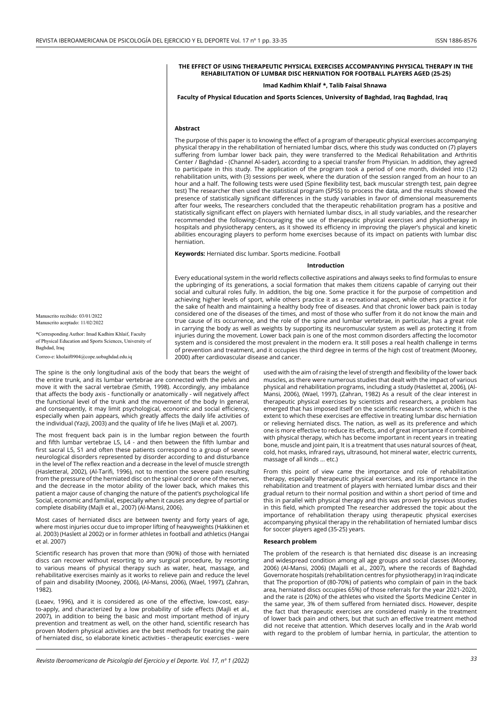## **THE EFFECT OF USING THERAPEUTIC PHYSICAL EXERCISES ACCOMPANYING PHYSICAL THERAPY IN THE REHABILITATION OF LUMBAR DISC HERNIATION FOR FOOTBALL PLAYERS AGED (25-25)**

# **Imad Kadhim Khlaif \*, Talib Faisal Shnawa**

## **Faculty of Physical Education and Sports Sciences, University of Baghdad, Iraq Baghdad, Iraq**

#### **Abstract**

The purpose of this paper is to knowing the effect of a program of therapeutic physical exercises accompanying physical therapy in the rehabilitation of herniated lumbar discs, where this study was conducted on (7) players suffering from lumbar lower back pain, they were transferred to the Medical Rehabilitation and Arthritis Center / Baghdad - (Channel Al-sader), according to a special transfer from Physician. In addition, they agreed to participate in this study. The application of the program took a period of one month, divided into (12) rehabilitation units, with (3) sessions per week, where the duration of the session ranged from an hour to an hour and a half. The following tests were used (Spine flexibility test, back muscular strength test, pain degree test) The researcher then used the statistical program (SPSS) to process the data, and the results showed the presence of statistically significant differences in the study variables in favor of dimensional measurements after four weeks, The researchers concluded that the therapeutic rehabilitation program has a positive and statistically significant effect on players with herniated lumbar discs, in all study variables, and the researcher recommended the following:-Encouraging the use of therapeutic physical exercises and physiotherapy in hospitals and physiotherapy centers, as it showed its efficiency in improving the player's physical and kinetic abilities encouraging players to perform home exercises because of its impact on patients with lumbar disc herniation.

**Keywords:** Herniated disc lumbar. Sports medicine. Football

#### **Introduction**

Every educational system in the world reflects collective aspirations and always seeks to find formulas to ensure the upbringing of its generations, a social formation that makes them citizens capable of carrying out their social and cultural roles fully. In addition, the big one. Some practice it for the purpose of competition and achieving higher levels of sport, while others practice it as a recreational aspect, while others practice it for the sake of health and maintaining a healthy body free of diseases. And that chronic lower back pain is today considered one of the diseases of the times, and most of those who suffer from it do not know the main and true cause of its occurrence, and the role of the spine and lumbar vertebrae, in particular, has a great role in carrying the body as well as weights by supporting its neuromuscular system as well as protecting it from injuries during the movement. Lower back pain is one of the most common disorders affecting the locomotor system and is considered the most prevalent in the modern era. It still poses a real health challenge in terms of prevention and treatment, and it occupies the third degree in terms of the high cost of treatment (Mooney, 2000) after cardiovascular disease and cancer.

Manuscrito recibido: 03/01/2022 Manuscrito aceptado: 11/02/2022

\*Corresponding Author: Imad Kadhim Khlaif, Faculty of Physical Education and Sports Sciences, University of Baghdad, Iraq

Correo-e: kholaif0904@cope.uobaghdad.edu.iq

The spine is the only longitudinal axis of the body that bears the weight of the entire trunk, and its lumbar vertebrae are connected with the pelvis and move it with the sacral vertebrae (Smith, 1998). Accordingly, any imbalance that affects the body axis - functionally or anatomically - will negatively affect the functional level of the trunk and the movement of the body In general, and consequently, it may limit psychological, economic and social efficiency, especially when pain appears, which greatly affects the daily life activities of the individual (Yazji, 2003) and the quality of life he lives (Majli et al. 2007).

The most frequent back pain is in the lumbar region between the fourth and fifth lumbar vertebrae L5, L4 - and then between the fifth lumbar and first sacral L5, S1 and often these patients correspond to a group of severe neurological disorders represented by disorder according to and disturbance in the level of The reflex reaction and a decrease in the level of muscle strength (Hasletteral, 2002), (Al-Tarifi, 1996), not to mention the severe pain resulting from the pressure of the herniated disc on the spinal cord or one of the nerves, and the decrease in the motor ability of the lower back, which makes this patient a major cause of changing the nature of the patient's psychological life Social, economic and familial, especially when it causes any degree of partial or complete disability (Majli et al., 2007) (Al-Mansi, 2006).

Most cases of herniated discs are between twenty and forty years of age, where most injuries occur due to improper lifting of heavyweights (Hakkinen et al. 2003) (Haslett al 2002) or in former athletes in football and athletics (Hangai et al. 2007)

Scientific research has proven that more than (90%) of those with herniated discs can recover without resorting to any surgical procedure, by resorting to various means of physical therapy such as water, heat, massage, and rehabilitative exercises mainly as it works to relieve pain and reduce the level of pain and disability (Mooney, 2006), (Al-Mansi, 2006), (Wael, 1997), (Zahran, 1982).

(Leaev, 1996), and it is considered as one of the effective, low-cost, easyto-apply, and characterized by a low probability of side effects (Majli et al., 2007), in addition to being the basic and most important method of injury prevention and treatment as well, on the other hand, scientific research has proven Modern physical activities are the best methods for treating the pain of herniated disc, so elaborate kinetic activities - therapeutic exercises - were

used with the aim of raising the level of strength and flexibility of the lower back muscles, as there were numerous studies that dealt with the impact of various physical and rehabilitation programs, including a study (Haslettet al, 2006), (Al-Mansi, 2006), (Wael, 1997), (Zahran, 1982) As a result of the clear interest in therapeutic physical exercises by scientists and researchers, a problem has emerged that has imposed itself on the scientific research scene, which is the extent to which these exercises are effective in treating lumbar disc herniation or relieving herniated discs. The nation, as well as its preference and which one is more effective to reduce its effects, and of great importance if combined with physical therapy, which has become important in recent years in treating bone, muscle and joint pain, It is a treatment that uses natural sources of (heat, cold, hot masks, infrared rays, ultrasound, hot mineral water, electric currents, massage of all kinds ... etc.)

From this point of view came the importance and role of rehabilitation therapy, especially therapeutic physical exercises, and its importance in the rehabilitation and treatment of players with herniated lumbar discs and their gradual return to their normal position and within a short period of time and this in parallel with physical therapy and this was proven by previous studies in this field, which prompted The researcher addressed the topic about the importance of rehabilitation therapy using therapeutic physical exercises accompanying physical therapy in the rehabilitation of herniated lumbar discs for soccer players aged (35-25) years.

### **Research problem**

The problem of the research is that herniated disc disease is an increasing and widespread condition among all age groups and social classes (Mooney, 2006) (Al-Mansi, 2006) (Majalli et al., 2007), where the records of Baghdad Governorate hospitals (rehabilitation centres for physiotherapy) in Iraq indicate that The proportion of (80-70%) of patients who complain of pain in the back area, herniated discs occupies 65%) of those referrals for the year 2021-2020, and the rate is (20%) of the athletes who visited the Sports Medicine Center in the same year, 3% of them suffered from herniated discs. However, despite the fact that therapeutic exercises are considered mainly in the treatment of lower back pain and others, but that such an effective treatment method did not receive that attention. Which deserves locally and in the Arab world with regard to the problem of lumbar hernia, in particular, the attention to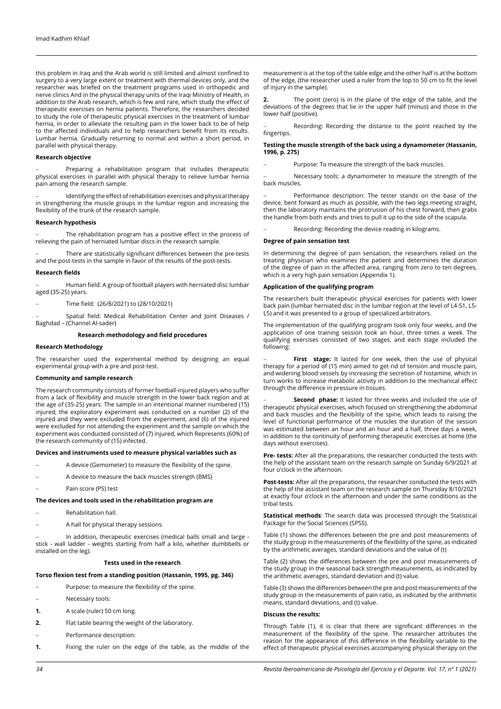this problem in Iraq and the Arab world is still limited and almost confined to surgery to a very large extent or treatment with thermal devices only, and the researcher was briefed on the treatment programs used in orthopedic and nerve clinics And in the physical therapy units of the Iraqi Ministry of Health, in addition to the Arab research, which is few and rare, which study the effect of therapeutic exercises on hernia patients. Therefore, the researchers decided to study the role of therapeutic physical exercises in the treatment of lumbar hernia, in order to alleviate the resulting pain in the lower back to be of help to the affected individuals and to help researchers benefit from its results. Lumbar hernia. Gradually returning to normal and within a short period, in parallel with physical therapy.

### **Research objective**

Preparing a rehabilitation program that includes therapeutic physical exercises in parallel with physical therapy to relieve lumbar hernia pain among the research sample.

Identifying the effect of rehabilitation exercises and physical therapy in strengthening the muscle groups in the lumbar region and increasing the flexibility of the trunk of the research sample.

## **Research hypothesis**

The rehabilitation program has a positive effect in the process of relieving the pain of herniated lumbar discs in the research sample.

There are statistically significant differences between the pre-tests and the post-tests in the sample in favor of the results of the post-tests.

# **Research fields**

Human field: A group of football players with herniated disc lumbar aged (35-25) years.

Time field: (26/8/2021) to (28/10/2021)

Spatial field: Medical Rehabilitation Center and Joint Diseases / Baghdad – (Channel Al-sader)

## **Research methodology and field procedures**

### **Research Methodology**

The researcher used the experimental method by designing an equal experimental group with a pre and post-test.

## **Community and sample research**

The research community consists of former football-injured players who suffer from a lack of flexibility and muscle strength in the lower back region and at the age of (35-25) years. The sample in an intentional manner numbered (15) injured, the exploratory experiment was conducted on a number (2) of the injured and they were excluded from the experiment, and (6) of the injured were excluded for not attending the experiment and the sample on which the experiment was conducted consisted of (7) injured, which Represents (60%) of the research community of (15) infected.

## **Devices and instruments used to measure physical variables such as**

- A device (Gemometer) to measure the flexibility of the spine.
- A device to measure the back muscles strength (BMS)
- Pain score (PS) test

# **The devices and tools used in the rehabilitation program are**

- Rehabilitation hall.
- A hall for physical therapy sessions.

In addition, therapeutic exercises (medical balls small and large stick - wall ladder - weights starting from half a kilo, whether dumbbells or installed on the leg).

## **Tests used in the research**

# **Torso flexion test from a standing position (Hassanin, 1995, pg. 346)**

- Purpose: to measure the flexibility of the spine.
- Necessary tools:
- **1.** A scale (ruler) 50 cm long.
- **2.** Flat table bearing the weight of the laboratory.
- Performance description:
- **1.** Fixing the ruler on the edge of the table, as the middle of the

measurement is at the top of the table edge and the other half is at the bottom of the edge, (the researcher used a ruler from the top to 50 cm to fit the level of injury in the sample).

**2.** The point (zero) is in the plane of the edge of the table, and the deviations of the degrees that lie in the upper half (minus) and those in the lower half (positive).

Recording: Recording the distance to the point reached by the fingertips.

## **Testing the muscle strength of the back using a dynamometer (Hassanin, 1996, p. 275)**

Purpose: To measure the strength of the back muscles.

Necessary tools: a dynamometer to measure the strength of the back muscles.

Performance description: The tester stands on the base of the device, bent forward as much as possible, with the two legs meeting straight, then the laboratory maintains the protrusion of his chest forward, then grabs the handle from both ends and tries to pull it up to the side of the scapula.

Recording: Recording the device reading in kilograms.

### **Degree of pain sensation test**

In determining the degree of pain sensation, the researchers relied on the treating physician who examines the patient and determines the duration of the degree of pain in the affected area, ranging from zero to ten degrees, which is a very high pain sensation (Appendix 1).

# **Application of the qualifying program**

The researchers built therapeutic physical exercises for patients with lower back pain (lumbar herniated disc in the lumbar region at the level of L4-S1, L5- L5) and it was presented to a group of specialized arbitrators.

The implementation of the qualifying program took only four weeks, and the application of one training session took an hour, three times a week. The qualifying exercises consisted of two stages, and each stage included the following:

First stage: It lasted for one week, then the use of physical therapy for a period of (15 min) aimed to get rid of tension and muscle pain, and widening blood vessels by increasing the secretion of histamine, which in turn works to increase metabolic activity in addition to the mechanical effect through the difference in pressure in tissues.

**Second phase:** It lasted for three weeks and included the use of therapeutic physical exercises, which focused on strengthening the abdominal and back muscles and the flexibility of the spine, which leads to raising the level of functional performance of the muscles the duration of the session was estimated between an hour and an hour and a half, three days a week, in addition to the continuity of performing therapeutic exercises at home (the days without exercises).

**Pre- tests:** After all the preparations, the researcher conducted the tests with the help of the assistant team on the research sample on Sunday 6/9/2021 at four o'clock in the afternoon.

**Post-tests:** After all the preparations, the researcher conducted the tests with the help of the assistant team on the research sample on Thursday 8/10/2021 at exactly four o'clock in the afternoon and under the same conditions as the tribal tests.

**Statistical methods**: The search data was processed through the Statistical Package for the Social Sciences (SPSS).

Table (1) shows the differences between the pre and post measurements of the study group in the measurements of the flexibility of the spine, as indicated by the arithmetic averages, standard deviations and the value of (t)

Table (2) shows the differences between the pre and post measurements of the study group in the seasonal back strength measurements, as indicated by the arithmetic averages, standard deviation and (t) value.

Table (3) shows the differences between the pre and post measurements of the study group in the measurements of pain ratio, as indicated by the arithmetic means, standard deviations, and (t) value.

## **Discuss the results:**

Through Table (1), it is clear that there are significant differences in the measurement of the flexibility of the spine. The researcher attributes the reason for the appearance of this difference in the flexibility variable to the effect of therapeutic physical exercises accompanying physical therapy on the